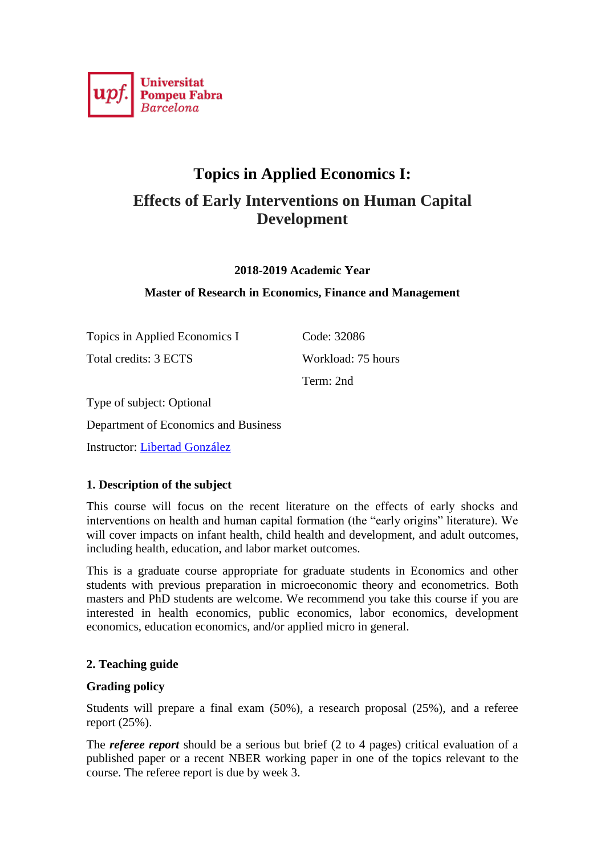

# **Topics in Applied Economics I: Effects of Early Interventions on Human Capital Development**

**2018-2019 Academic Year**

### **Master of Research in Economics, Finance and Management**

Topics in Applied Economics I Code: 32086 Total credits: 3 ECTS Workload: 75 hours

Term: 2nd

Type of subject: Optional Department of Economics and Business

Instructor: [Libertad González](https://www.upf.edu/web/libertad-gonzalez/)

# **1. Description of the subject**

This course will focus on the recent literature on the effects of early shocks and interventions on health and human capital formation (the "early origins" literature). We will cover impacts on infant health, child health and development, and adult outcomes, including health, education, and labor market outcomes.

This is a graduate course appropriate for graduate students in Economics and other students with previous preparation in microeconomic theory and econometrics. Both masters and PhD students are welcome. We recommend you take this course if you are interested in health economics, public economics, labor economics, development economics, education economics, and/or applied micro in general.

# **2. Teaching guide**

#### **Grading policy**

Students will prepare a final exam (50%), a research proposal (25%), and a referee report (25%).

The *referee report* should be a serious but brief (2 to 4 pages) critical evaluation of a published paper or a recent NBER working paper in one of the topics relevant to the course. The referee report is due by week 3.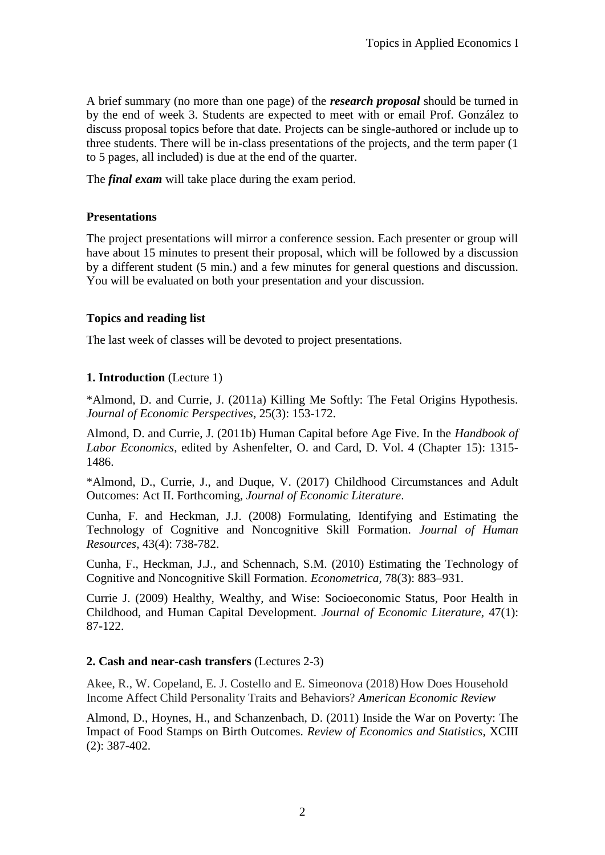A brief summary (no more than one page) of the *research proposal* should be turned in by the end of week 3. Students are expected to meet with or email Prof. González to discuss proposal topics before that date. Projects can be single-authored or include up to three students. There will be in-class presentations of the projects, and the term paper (1 to 5 pages, all included) is due at the end of the quarter.

The *final exam* will take place during the exam period.

# **Presentations**

The project presentations will mirror a conference session. Each presenter or group will have about 15 minutes to present their proposal, which will be followed by a discussion by a different student (5 min.) and a few minutes for general questions and discussion. You will be evaluated on both your presentation and your discussion.

# **Topics and reading list**

The last week of classes will be devoted to project presentations.

# **1. Introduction** (Lecture 1)

\*Almond, D. and Currie, J. (2011a) Killing Me Softly: The Fetal Origins Hypothesis. *Journal of Economic Perspectives*, 25(3): 153-172.

Almond, D. and Currie, J. (2011b) Human Capital before Age Five. In the *Handbook of Labor Economics*, edited by Ashenfelter, O. and Card, D. Vol. 4 (Chapter 15): 1315- 1486.

\*Almond, D., Currie, J., and Duque, V. (2017) Childhood Circumstances and Adult Outcomes: Act II. Forthcoming, *Journal of Economic Literature*.

Cunha, F. and Heckman, J.J. (2008) Formulating, Identifying and Estimating the Technology of Cognitive and Noncognitive Skill Formation. *Journal of Human Resources*, 43(4): 738-782.

Cunha, F., Heckman, J.J., and Schennach, S.M. (2010) Estimating the Technology of Cognitive and Noncognitive Skill Formation. *Econometrica,* 78(3): 883–931.

Currie J. (2009) Healthy, Wealthy, and Wise: Socioeconomic Status, Poor Health in Childhood, and Human Capital Development*. Journal of Economic Literature*, 47(1): 87-122.

# **2. Cash and near-cash transfers** (Lectures 2-3)

Akee, R., W. Copeland, E. J. Costello and E. Simeonova (2018) How Does Household Income Affect Child Personality Traits and Behaviors? *American Economic Review*

Almond, D., Hoynes, H., and Schanzenbach, D. (2011) Inside the War on Poverty: The Impact of Food Stamps on Birth Outcomes. *Review of Economics and Statistics*, XCIII (2): 387-402.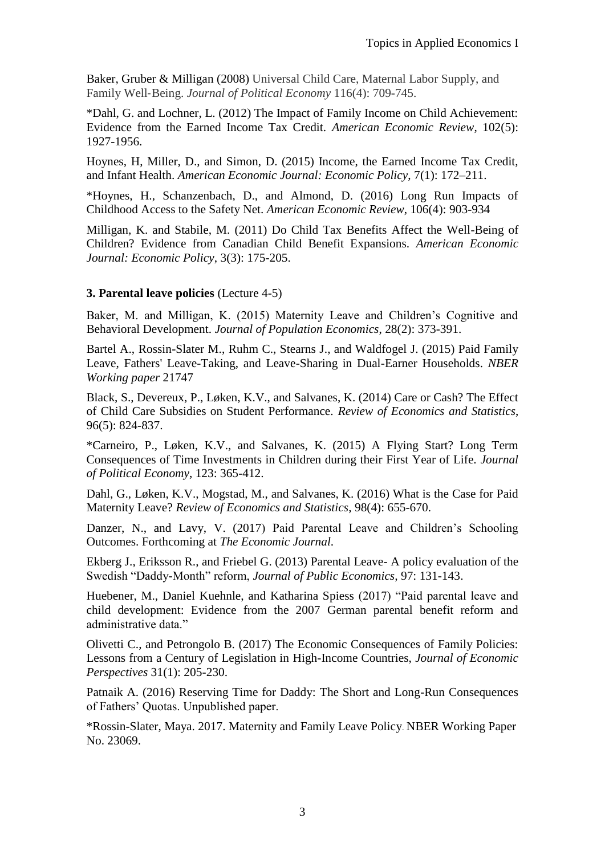Baker, Gruber & Milligan (2008) Universal Child Care, Maternal Labor Supply, and Family Well‐Being. *Journal of Political Economy* 116(4): 709-745.

\*Dahl, G. and Lochner, L. (2012) The Impact of Family Income on Child Achievement: Evidence from the Earned Income Tax Credit. *American Economic Review*, 102(5): 1927-1956.

Hoynes, H, Miller, D., and Simon, D. (2015) Income, the Earned Income Tax Credit, and Infant Health. *American Economic Journal: Economic Policy*, 7(1): 172–211.

\*Hoynes, H., Schanzenbach, D., and Almond, D. (2016) Long Run Impacts of Childhood Access to the Safety Net. *American Economic Review*, 106(4): 903-934

Milligan, K. and Stabile, M. (2011) Do Child Tax Benefits Affect the Well-Being of Children? Evidence from Canadian Child Benefit Expansions. *American Economic Journal: Economic Policy*, 3(3): 175-205.

### **3. Parental leave policies** (Lecture 4-5)

Baker, M. and Milligan, K. (2015) Maternity Leave and Children's Cognitive and Behavioral Development. *Journal of Population Economics*, 28(2): 373-391.

Bartel A., Rossin-Slater M., Ruhm C., Stearns J., and Waldfogel J. (2015) Paid Family Leave, Fathers' Leave-Taking, and Leave-Sharing in Dual-Earner Households. *NBER Working paper* 21747

Black, S., Devereux, P., Løken, K.V., and Salvanes, K. (2014) Care or Cash? The Effect of Child Care Subsidies on Student Performance. *Review of Economics and Statistics*, 96(5): 824-837.

\*Carneiro, P., Løken, K.V., and Salvanes, K. (2015) A Flying Start? Long Term Consequences of Time Investments in Children during their First Year of Life. *Journal of Political Economy*, 123: 365-412.

Dahl, G., Løken, K.V., Mogstad, M., and Salvanes, K. (2016) What is the Case for Paid Maternity Leave? *Review of Economics and Statistics*, 98(4): 655-670.

Danzer, N., and Lavy, V. (2017) Paid Parental Leave and Children's Schooling Outcomes. Forthcoming at *The Economic Journal.*

Ekberg J., Eriksson R., and Friebel G. (2013) Parental Leave- A policy evaluation of the Swedish "Daddy-Month" reform, *Journal of Public Economics,* 97: 131-143.

Huebener, M., Daniel Kuehnle, and Katharina Spiess (2017) "Paid parental leave and child development: Evidence from the 2007 German parental benefit reform and administrative data."

Olivetti C., and Petrongolo B. (2017) The Economic Consequences of Family Policies: Lessons from a Century of Legislation in High-Income Countries, *Journal of Economic Perspectives* 31(1): 205-230.

Patnaik A. (2016) Reserving Time for Daddy: The Short and Long-Run Consequences of Fathers' Quotas. Unpublished paper.

\*Rossin-Slater, Maya. 2017. Maternity and Family Leave Policy. NBER Working Paper No. 23069.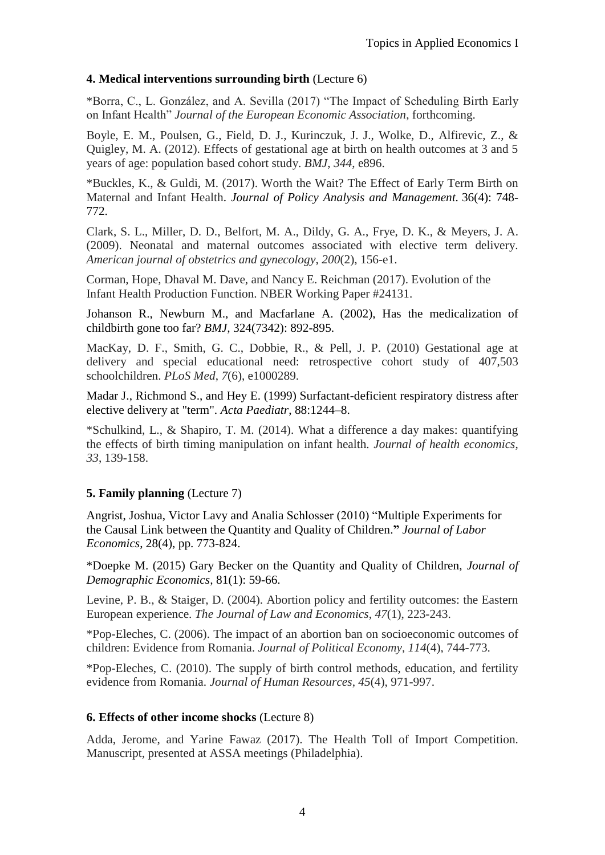# **4. Medical interventions surrounding birth** (Lecture 6)

\*Borra, C., L. González, and A. Sevilla (2017) "The Impact of Scheduling Birth Early on Infant Health" *Journal of the European Economic Association*, forthcoming.

Boyle, E. M., Poulsen, G., Field, D. J., Kurinczuk, J. J., Wolke, D., Alfirevic, Z., & Quigley, M. A. (2012). Effects of gestational age at birth on health outcomes at 3 and 5 years of age: population based cohort study. *BMJ*, *344*, e896.

\*Buckles, K., & Guldi, M. (2017). Worth the Wait? The Effect of Early Term Birth on Maternal and Infant Health. *Journal of Policy Analysis and Management.* 36(4): 748- 772.

Clark, S. L., Miller, D. D., Belfort, M. A., Dildy, G. A., Frye, D. K., & Meyers, J. A. (2009). Neonatal and maternal outcomes associated with elective term delivery. *American journal of obstetrics and gynecology*, *200*(2), 156-e1.

Corman, Hope, Dhaval M. Dave, and Nancy E. Reichman (2017). Evolution of the Infant Health Production Function. NBER Working Paper #24131.

Johanson R., Newburn M., and Macfarlane A. (2002), Has the medicalization of childbirth gone too far? *BMJ,* 324(7342): 892-895.

MacKay, D. F., Smith, G. C., Dobbie, R., & Pell, J. P. (2010) Gestational age at delivery and special educational need: retrospective cohort study of 407,503 schoolchildren. *PLoS Med*, *7*(6), e1000289.

Madar J., Richmond S., and Hey E. (1999) Surfactant-deficient respiratory distress after elective delivery at "term". *Acta Paediatr*, 88:1244–8.

\*Schulkind, L., & Shapiro, T. M. (2014). What a difference a day makes: quantifying the effects of birth timing manipulation on infant health. *Journal of health economics*, *33*, 139-158.

# **5. Family planning** (Lecture 7)

Angrist, Joshua, Victor Lavy and Analia Schlosser (2010) "Multiple Experiments for the Causal Link between the Quantity and Quality of Children.**"** *Journal of Labor Economics*, 28(4), pp. 773-824.

\*Doepke M. (2015) Gary Becker on the Quantity and Quality of Children, *Journal of Demographic Economics,* 81(1): 59-66.

Levine, P. B., & Staiger, D. (2004). Abortion policy and fertility outcomes: the Eastern European experience. *The Journal of Law and Economics*, *47*(1), 223-243.

\*Pop-Eleches, C. (2006). The impact of an abortion ban on socioeconomic outcomes of children: Evidence from Romania. *Journal of Political Economy*, *114*(4), 744-773.

\*Pop-Eleches, C. (2010). The supply of birth control methods, education, and fertility evidence from Romania. *Journal of Human Resources*, *45*(4), 971-997.

# **6. Effects of other income shocks** (Lecture 8)

Adda, Jerome, and Yarine Fawaz (2017). The Health Toll of Import Competition. Manuscript, presented at ASSA meetings (Philadelphia).